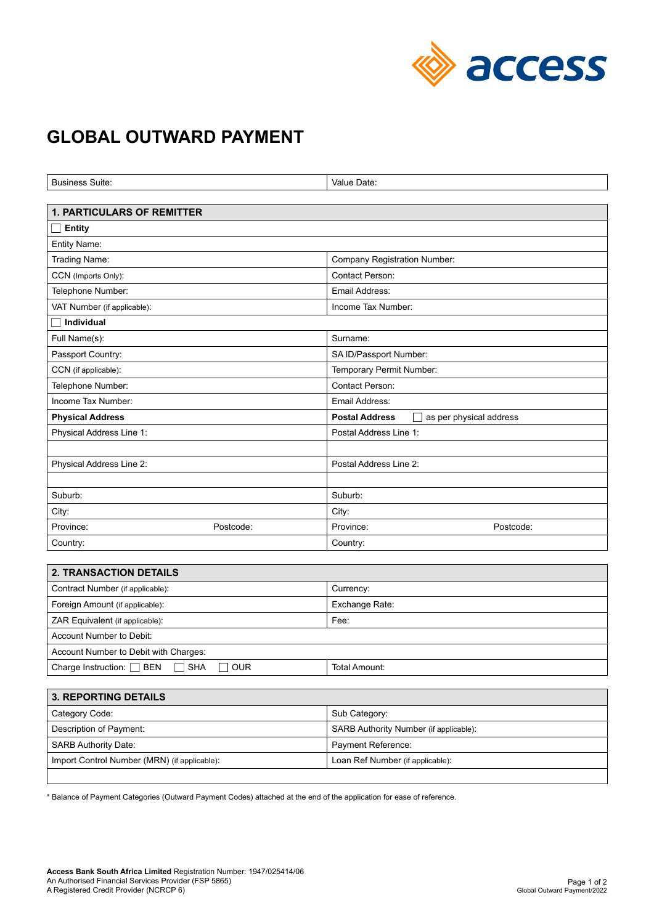

## **GLOBAL OUTWARD PAYMENT**

| <b>Business Suite:</b>            | Value Date:                                      |
|-----------------------------------|--------------------------------------------------|
|                                   |                                                  |
| <b>1. PARTICULARS OF REMITTER</b> |                                                  |
| <b>Entity</b><br>$\blacksquare$   |                                                  |
| Entity Name:                      |                                                  |
| Trading Name:                     | <b>Company Registration Number:</b>              |
| CCN (Imports Only):               | Contact Person:                                  |
| Telephone Number:                 | Email Address:                                   |
| VAT Number (if applicable):       | Income Tax Number:                               |
| Individual                        |                                                  |
| Full Name(s):                     | Surname:                                         |
| Passport Country:                 | SA ID/Passport Number:                           |
| CCN (if applicable):              | Temporary Permit Number:                         |
| Telephone Number:                 | Contact Person:                                  |
| Income Tax Number:                | Email Address:                                   |
| <b>Physical Address</b>           | <b>Postal Address</b><br>as per physical address |
| Physical Address Line 1:          | Postal Address Line 1:                           |
|                                   |                                                  |
| Physical Address Line 2:          | Postal Address Line 2:                           |
|                                   |                                                  |
| Suburb:                           | Suburb:                                          |
| City:                             | City:                                            |
| Province:<br>Postcode:            | Postcode:<br>Province:                           |
| Country:                          | Country:                                         |
|                                   |                                                  |
| <b>2. TRANSACTION DETAILS</b>     |                                                  |
| Contract Number (if applicable):  | Currency:                                        |
| Foreign Amount (if applicable):   | Exchange Rate:                                   |
| ZAR Equivalent (if applicable):   | Fee:                                             |
| Account Number to Debit:          |                                                  |

| Account Number to Debit with Charges: |            |            |               |  |
|---------------------------------------|------------|------------|---------------|--|
| <b>BEN</b><br>Charge Instruction:     | <b>SHA</b> | <b>OUR</b> | Total Amount: |  |
|                                       |            |            |               |  |

| <b>3. REPORTING DETAILS</b>                  |                                        |  |
|----------------------------------------------|----------------------------------------|--|
| Category Code:                               | Sub Category:                          |  |
| Description of Payment:                      | SARB Authority Number (if applicable): |  |
| <b>SARB Authority Date:</b>                  | Payment Reference:                     |  |
| Import Control Number (MRN) (if applicable): | Loan Ref Number (if applicable):       |  |
|                                              |                                        |  |

\* Balance of Payment Categories (Outward Payment Codes) attached at the end of the application for ease of reference.